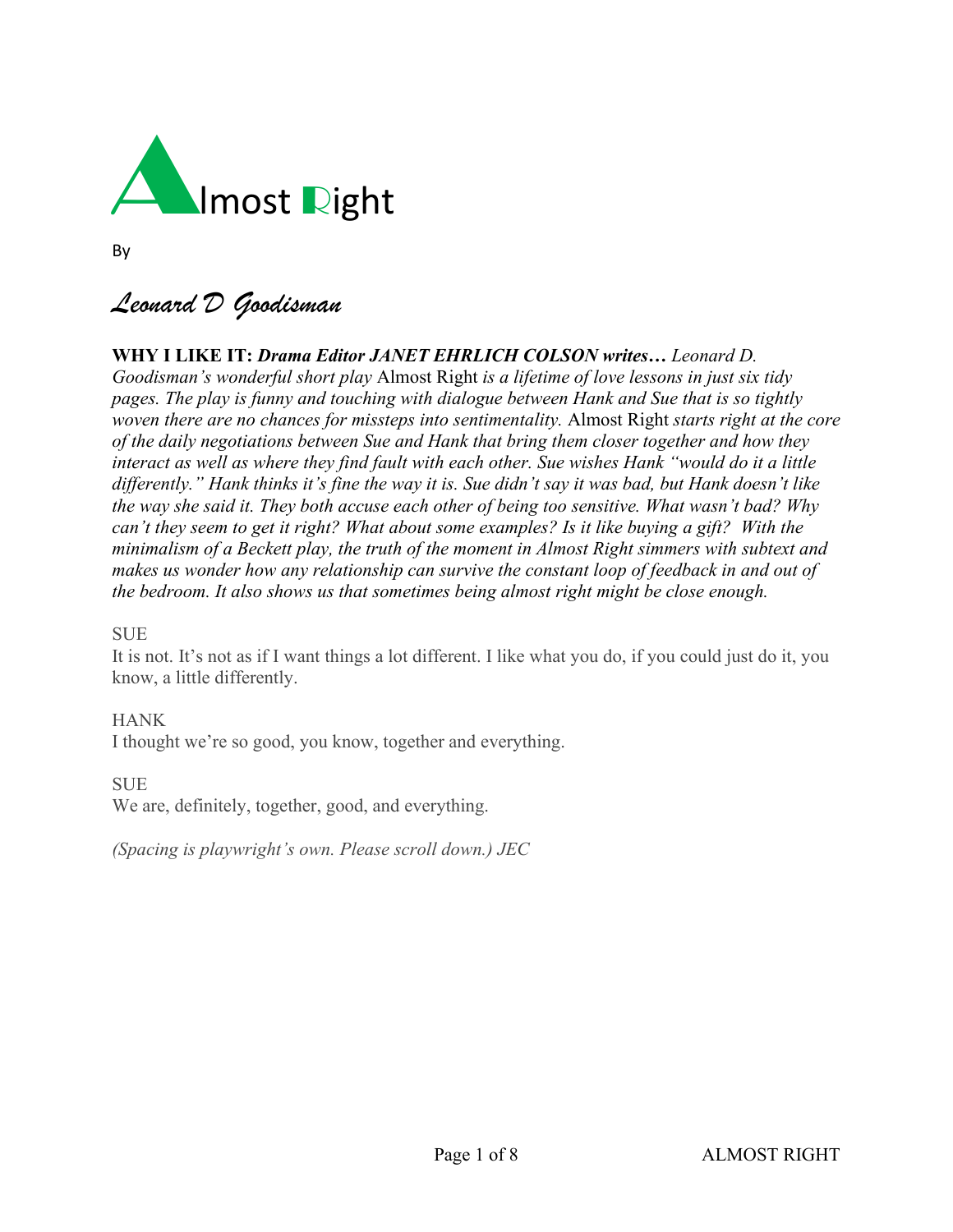

By

# *Leonard D Goodisman*

# **WHY I LIKE IT:** *Drama Editor JANET EHRLICH COLSON writes… Leonard D. Goodisman's wonderful short play* Almost Right *is a lifetime of love lessons in just six tidy pages. The play is funny and touching with dialogue between Hank and Sue that is so tightly*

*woven there are no chances for missteps into sentimentality.* Almost Right *starts right at the core of the daily negotiations between Sue and Hank that bring them closer together and how they* interact as well as where they find fault with each other. Sue wishes Hank "would do it a little differently." Hank thinks it's fine the way it is. Sue didn't say it was bad, but Hank doesn't like *the way she said it. They both accuse each other of being too sensitive. What wasn't bad? Why can't they seem to get it right? What about some examples? Is it like buying a gift? With the minimalism of a Beckett play, the truth of the moment in Almost Right simmers with subtext and makes us wonder how any relationship can survive the constant loop of feedback in and out of the bedroom. It also shows us that sometimes being almost right might be close enough.*

# **SUE**

It is not. It's not as if I want things a lot different. I like what you do, if you could just do it, you know, a little differently.

# HANK

I thought we're so good, you know, together and everything.

**SUE** 

We are, definitely, together, good, and everything.

*(Spacing is playwright's own. Please scroll down.) JEC*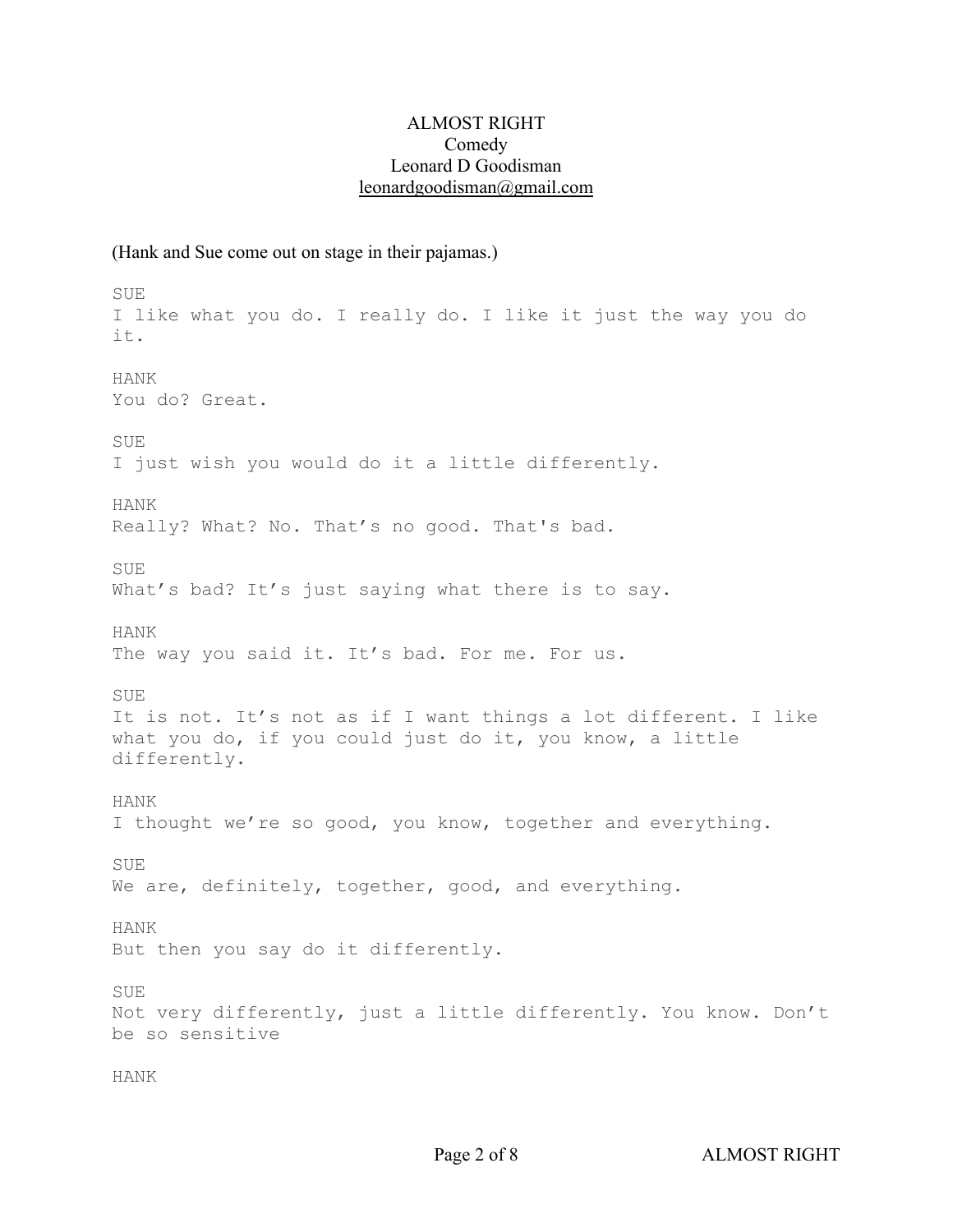#### ALMOST RIGHT Comedy Leonard D Goodisman [leonardgoodisman@gmail.com](mailto:leonardgoodisman@gmail.com)

#### (Hank and Sue come out on stage in their pajamas.)

SUE I like what you do. I really do. I like it just the way you do it. HANK You do? Great. SUE I just wish you would do it a little differently. HANK Really? What? No. That's no good. That's bad. SUE What's bad? It's just saying what there is to say. HANK The way you said it. It's bad. For me. For us. SUE It is not. It's not as if I want things a lot different. I like what you do, if you could just do it, you know, a little differently. HANK I thought we're so good, you know, together and everything. SUE We are, definitely, together, good, and everything. HANK But then you say do it differently. SUE Not very differently, just a little differently. You know. Don't be so sensitive HANK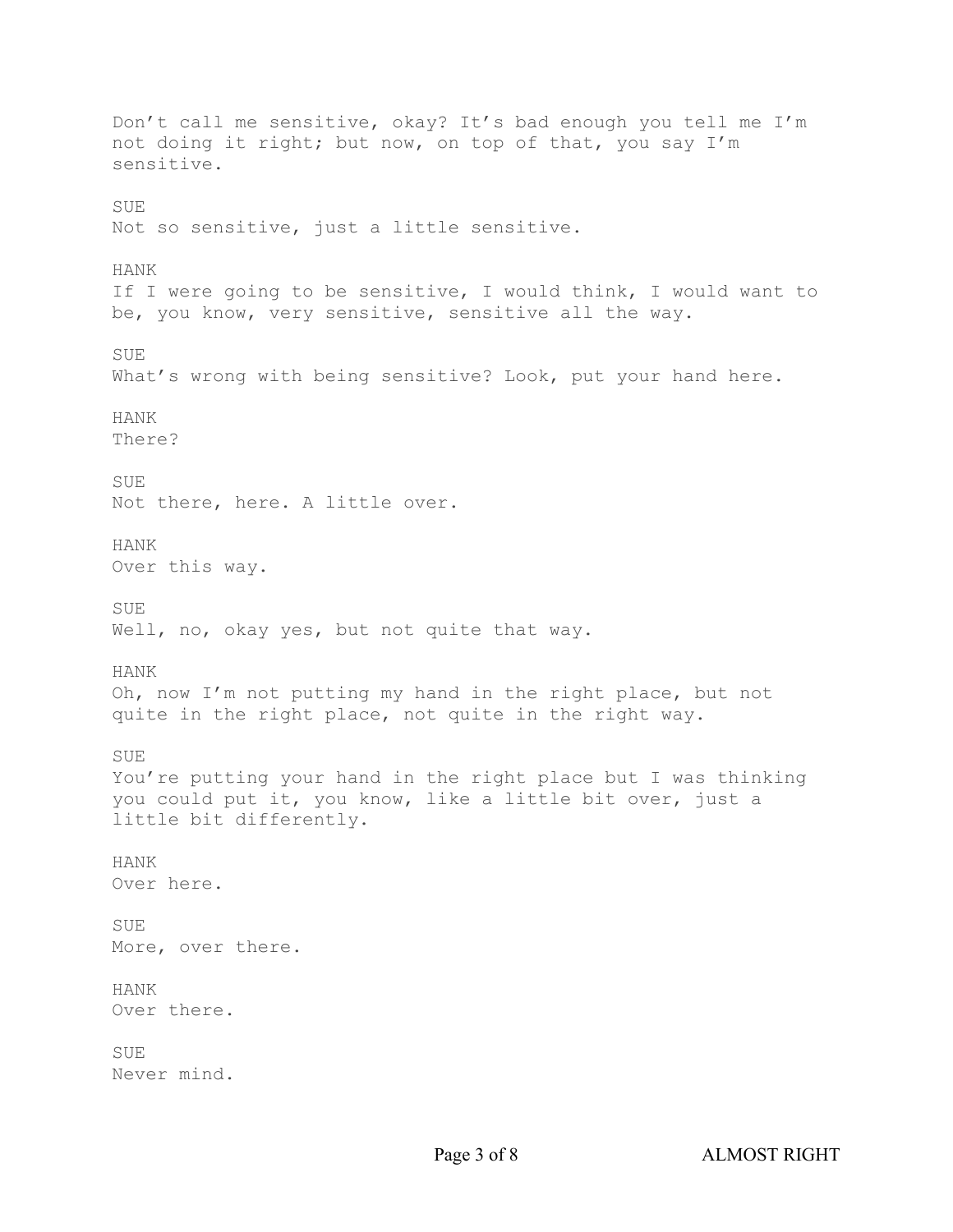Don't call me sensitive, okay? It's bad enough you tell me I'm not doing it right; but now, on top of that, you say I'm sensitive. SUE Not so sensitive, just a little sensitive. HANK If I were going to be sensitive, I would think, I would want to be, you know, very sensitive, sensitive all the way. SUE What's wrong with being sensitive? Look, put your hand here. HANK There? SUE Not there, here. A little over. HANK Over this way. SUE Well, no, okay yes, but not quite that way. HANK Oh, now I'm not putting my hand in the right place, but not quite in the right place, not quite in the right way. **SUE** You're putting your hand in the right place but I was thinking you could put it, you know, like a little bit over, just a little bit differently. HANK Over here. SUE More, over there. HANK Over there. SUE Never mind.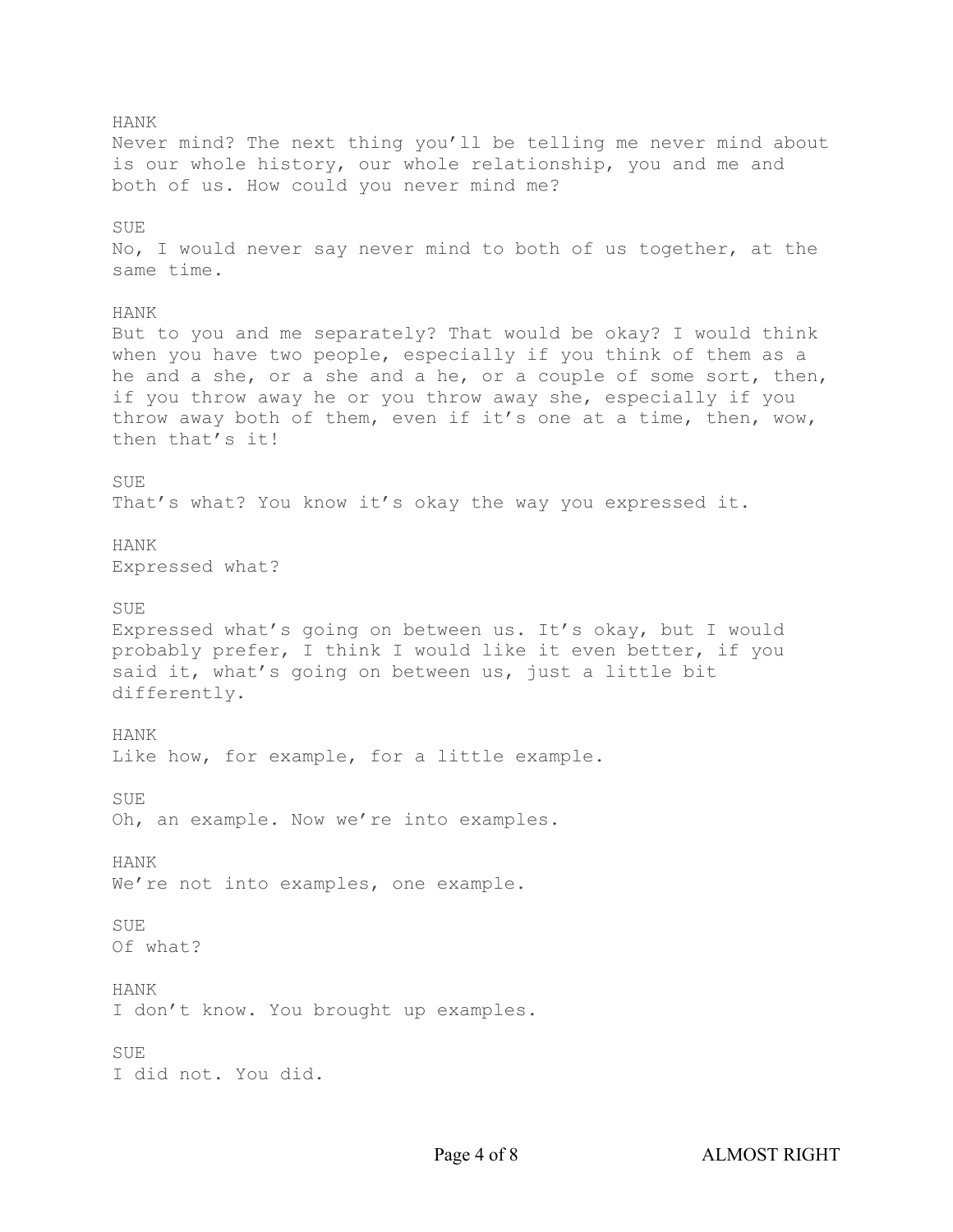HANK Never mind? The next thing you'll be telling me never mind about is our whole history, our whole relationship, you and me and both of us. How could you never mind me? **SUE** No, I would never say never mind to both of us together, at the same time. HANK But to you and me separately? That would be okay? I would think when you have two people, especially if you think of them as a he and a she, or a she and a he, or a couple of some sort, then, if you throw away he or you throw away she, especially if you throw away both of them, even if it's one at a time, then, wow, then that's it! SUE That's what? You know it's okay the way you expressed it. HANK Expressed what? SUE Expressed what's going on between us. It's okay, but I would probably prefer, I think I would like it even better, if you said it, what's going on between us, just a little bit differently. HANK Like how, for example, for a little example. SUE Oh, an example. Now we're into examples. HANK We're not into examples, one example. SUE Of what? HANK I don't know. You brought up examples. SUE I did not. You did.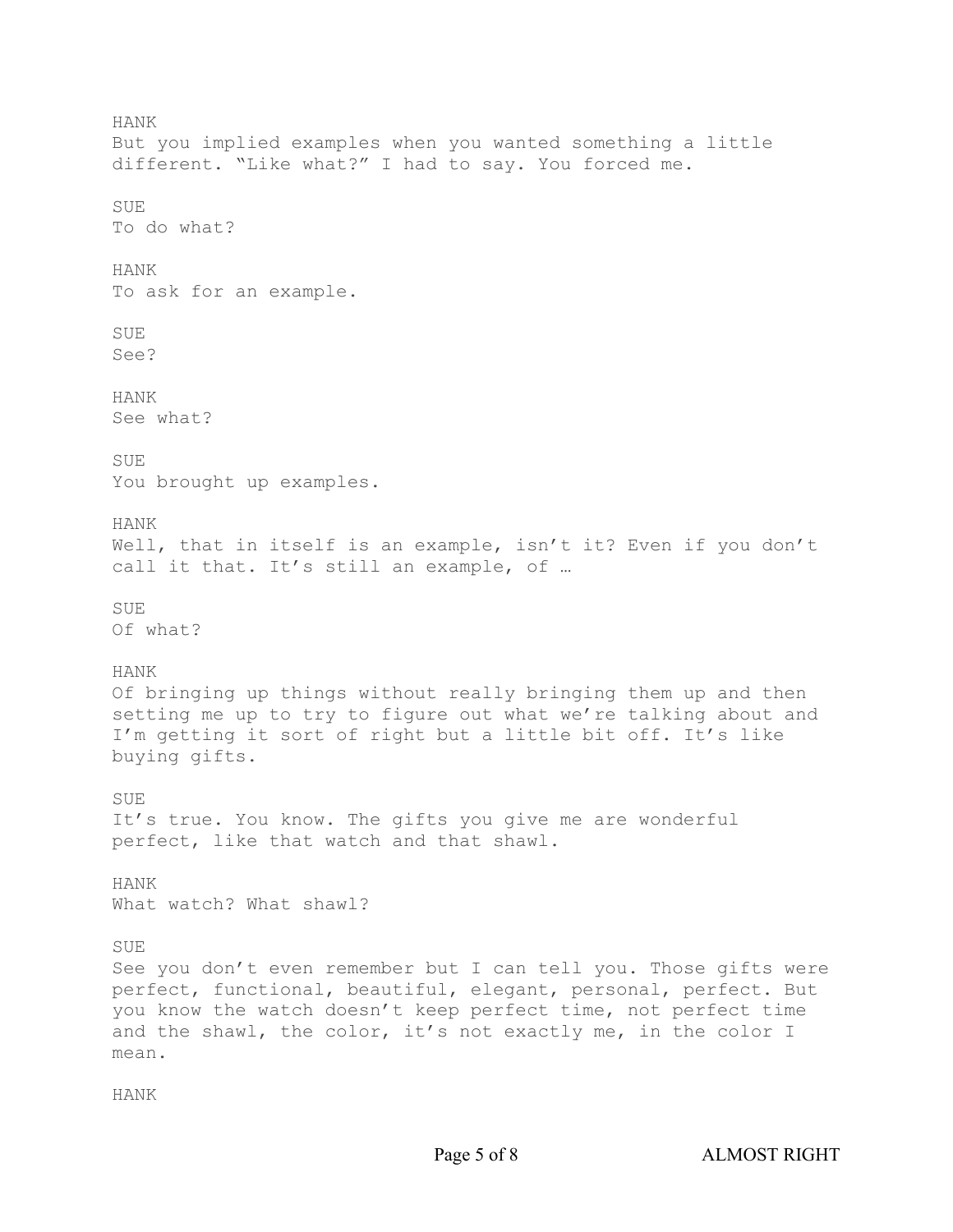HANK But you implied examples when you wanted something a little different. "Like what?" I had to say. You forced me. SUE To do what? HANK To ask for an example. SUE See? HANK See what? SUE You brought up examples. HANK Well, that in itself is an example, isn't it? Even if you don't call it that. It's still an example, of … SUE Of what? HANK Of bringing up things without really bringing them up and then setting me up to try to figure out what we're talking about and I'm getting it sort of right but a little bit off. It's like buying gifts. SUE It's true. You know. The gifts you give me are wonderful perfect, like that watch and that shawl. HANK What watch? What shawl? SUE See you don't even remember but I can tell you. Those gifts were perfect, functional, beautiful, elegant, personal, perfect. But you know the watch doesn't keep perfect time, not perfect time and the shawl, the color, it's not exactly me, in the color I mean.

HANK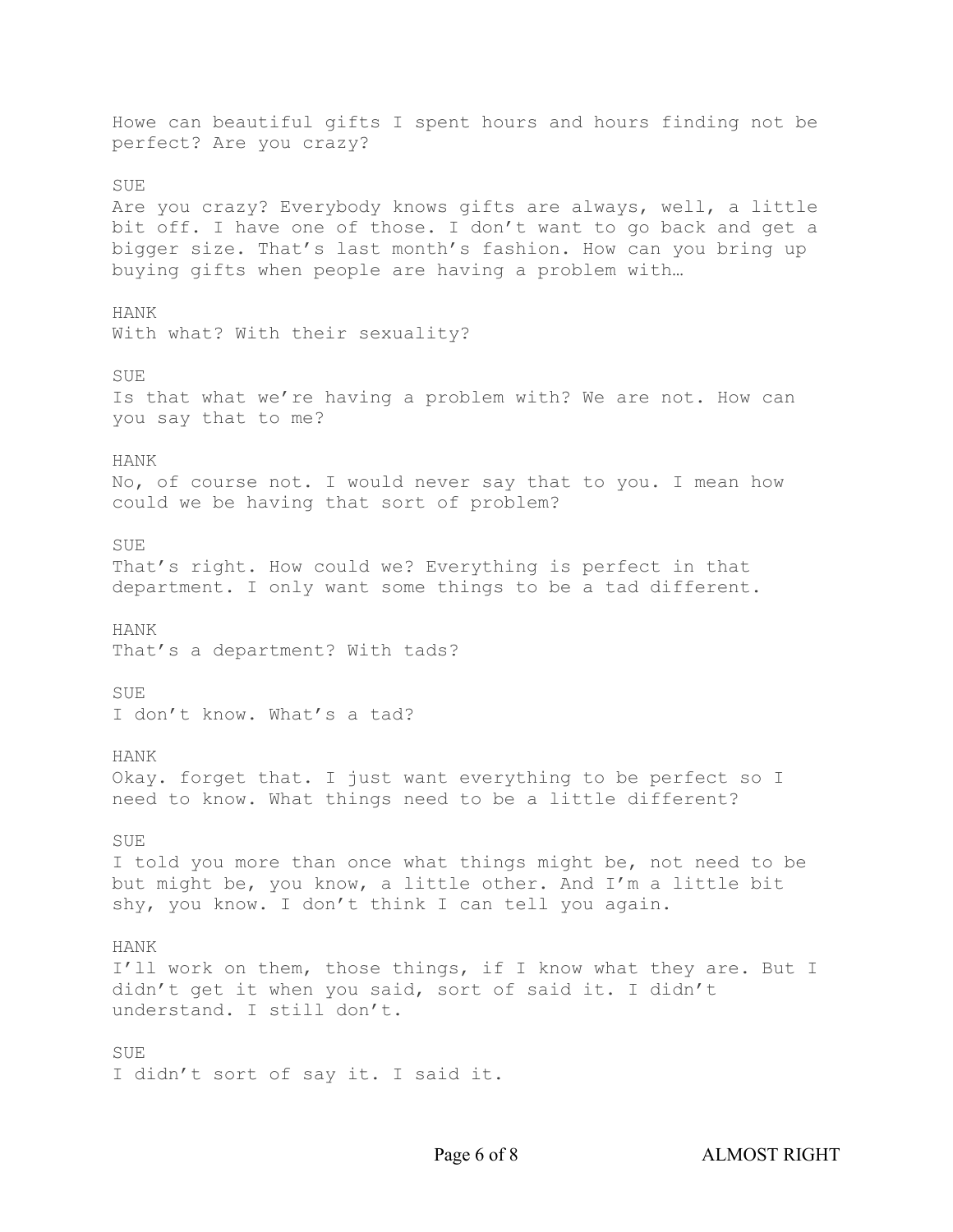Howe can beautiful gifts I spent hours and hours finding not be perfect? Are you crazy? SUE Are you crazy? Everybody knows gifts are always, well, a little bit off. I have one of those. I don't want to go back and get a bigger size. That's last month's fashion. How can you bring up buying gifts when people are having a problem with… HANK With what? With their sexuality? SUE Is that what we're having a problem with? We are not. How can you say that to me? HANK No, of course not. I would never say that to you. I mean how could we be having that sort of problem? **SUE** That's right. How could we? Everything is perfect in that department. I only want some things to be a tad different. HANK That's a department? With tads? SUE I don't know. What's a tad? HANK Okay. forget that. I just want everything to be perfect so I need to know. What things need to be a little different? SUE I told you more than once what things might be, not need to be but might be, you know, a little other. And I'm a little bit shy, you know. I don't think I can tell you again. HANK I'll work on them, those things, if I know what they are. But I didn't get it when you said, sort of said it. I didn't understand. I still don't. SUE I didn't sort of say it. I said it.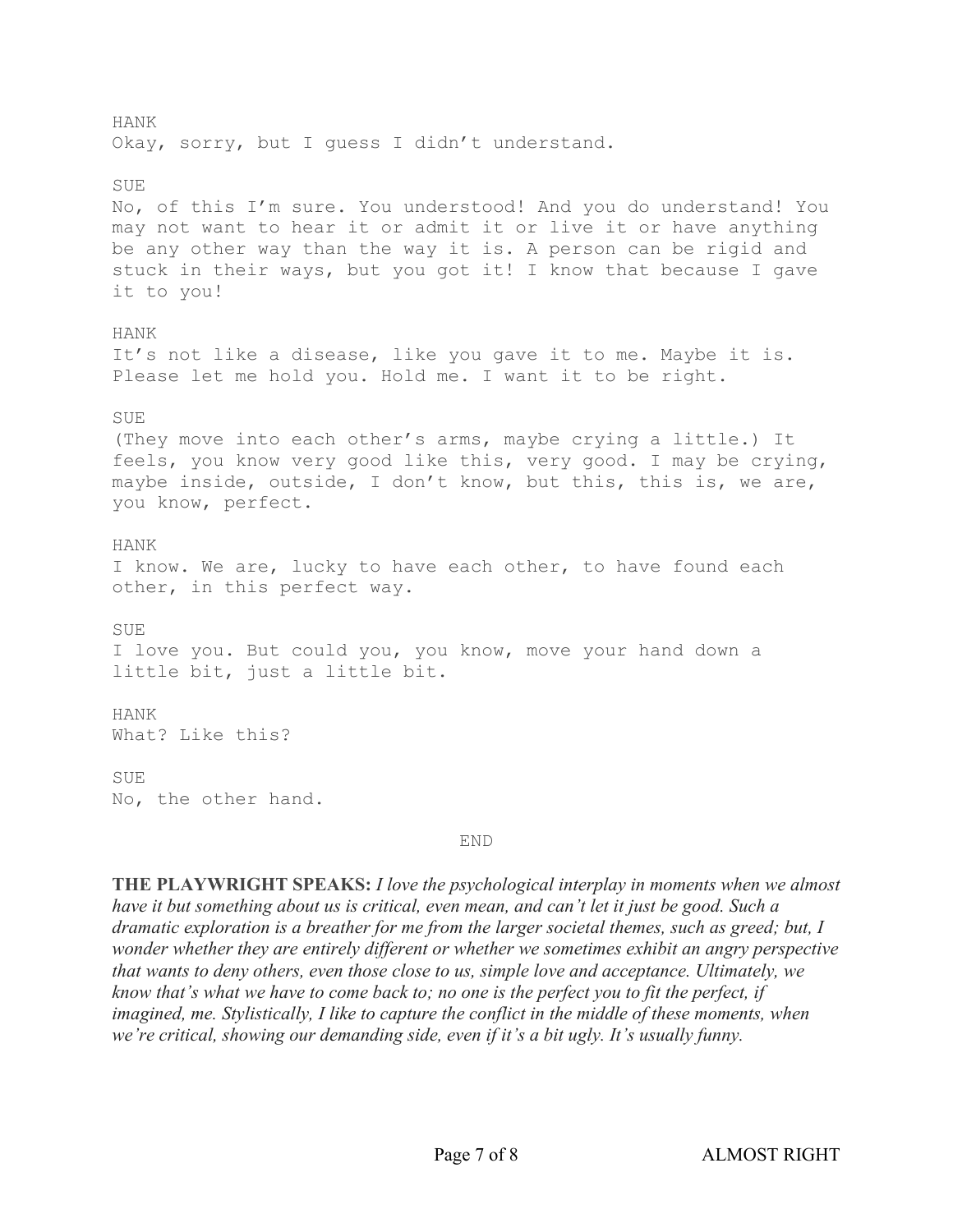HANK Okay, sorry, but I guess I didn't understand. SUE No, of this I'm sure. You understood! And you do understand! You may not want to hear it or admit it or live it or have anything be any other way than the way it is. A person can be rigid and stuck in their ways, but you got it! I know that because I gave it to you! HANK It's not like a disease, like you gave it to me. Maybe it is. Please let me hold you. Hold me. I want it to be right. SUE (They move into each other's arms, maybe crying a little.) It feels, you know very good like this, very good. I may be crying, maybe inside, outside, I don't know, but this, this is, we are, you know, perfect. HANK I know. We are, lucky to have each other, to have found each other, in this perfect way. SUE I love you. But could you, you know, move your hand down a little bit, just a little bit. HANK What? Like this? SUE No, the other hand.

#### END

**THE PLAYWRIGHT SPEAKS:** *I love the psychological interplay in moments when we almost* have it but something about us is critical, even mean, and can't let it just be good. Such a *dramatic exploration is a breather for me from the larger societal themes, such as greed; but, I wonder whether they are entirely different or whether we sometimes exhibit an angry perspective that wants to deny others, even those close to us, simple love and acceptance. Ultimately, we* know that's what we have to come back to; no one is the perfect you to fit the perfect, if *imagined, me. Stylistically, I like to capture the conflict in the middle of these moments, when we're critical, showing our demanding side, even if it's a bit ugly. It's usually funny.*